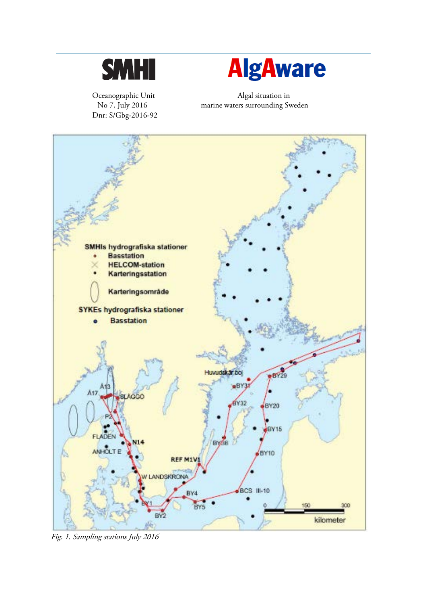

Dnr: S/Gbg-2016-92



Oceanographic Unit Algal situation in No 7, July 2016 marine waters surrounding Sweden



Fig. 1. Sampling stations July 2016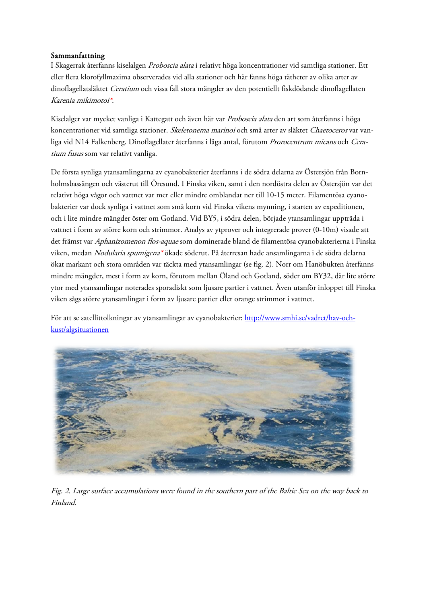#### Sammanfattning

I Skagerrak återfanns kiselalgen Proboscia alata i relativt höga koncentrationer vid samtliga stationer. Ett eller flera klorofyllmaxima observerades vid alla stationer och här fanns höga tätheter av olika arter av dinoflagellatsläktet Ceratium och vissa fall stora mängder av den potentiellt fiskdödande dinoflagellaten Karenia mikimotoi\*.

Kiselalger var mycket vanliga i Kattegatt och även här var Proboscia alata den art som återfanns i höga koncentrationer vid samtliga stationer. Skeletonema marinoi och små arter av släktet Chaetoceros var vanliga vid N14 Falkenberg. Dinoflagellater återfanns i låga antal, förutom Prorocentrum micans och Ceratium fusus som var relativt vanliga.

De första synliga ytansamlingarna av cyanobakterier återfanns i de södra delarna av Östersjön från Bornholmsbassängen och västerut till Öresund. I Finska viken, samt i den nordöstra delen av Östersjön var det relativt höga vågor och vattnet var mer eller mindre omblandat ner till 10-15 meter. Filamentösa cyanobakterier var dock synliga i vattnet som små korn vid Finska vikens mynning, i starten av expeditionen, och i lite mindre mängder öster om Gotland. Vid BY5, i södra delen, började ytansamlingar uppträda i vattnet i form av större korn och strimmor. Analys av ytprover och integrerade prover (0-10m) visade att det främst var Aphanizomenon flos-aquae som dominerade bland de filamentösa cyanobakterierna i Finska viken, medan Nodularia spumigena\* ökade söderut. På återresan hade ansamlingarna i de södra delarna ökat markant och stora områden var täckta med ytansamlingar (se fig. 2). Norr om Hanöbukten återfanns mindre mängder, mest i form av korn, förutom mellan Öland och Gotland, söder om BY32, där lite större ytor med ytansamlingar noterades sporadiskt som ljusare partier i vattnet. Även utanför inloppet till Finska viken sågs större ytansamlingar i form av ljusare partier eller orange strimmor i vattnet.

För att se satellittolkningar av ytansamlingar av cyanobakterier: [http://www.smhi.se/vadret/hav-och](http://www.smhi.se/vadret/hav-och-kust/algsituationen)[kust/algsituationen](http://www.smhi.se/vadret/hav-och-kust/algsituationen)



Fig. 2. Large surface accumulations were found in the southern part of the Baltic Sea on the way back to Finland.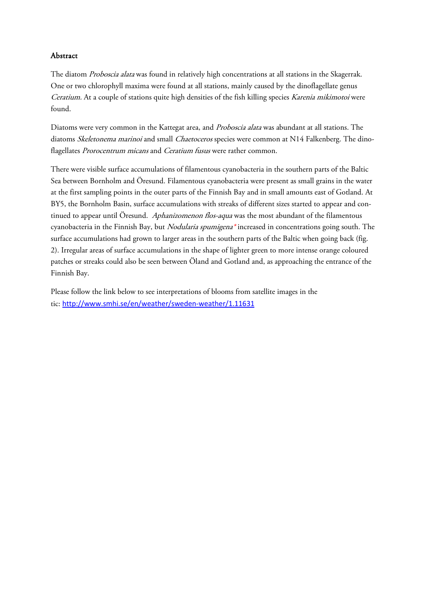#### Abstract

The diatom Proboscia alata was found in relatively high concentrations at all stations in the Skagerrak. One or two chlorophyll maxima were found at all stations, mainly caused by the dinoflagellate genus Ceratium. At a couple of stations quite high densities of the fish killing species Karenia mikimotoi were found.

Diatoms were very common in the Kattegat area, and Proboscia alata was abundant at all stations. The diatoms Skeletonema marinoi and small Chaetoceros species were common at N14 Falkenberg. The dinoflagellates Prorocentrum micans and Ceratium fusus were rather common.

There were visible surface accumulations of filamentous cyanobacteria in the southern parts of the Baltic Sea between Bornholm and Öresund. Filamentous cyanobacteria were present as small grains in the water at the first sampling points in the outer parts of the Finnish Bay and in small amounts east of Gotland. At BY5, the Bornholm Basin, surface accumulations with streaks of different sizes started to appear and continued to appear until Öresund. Aphanizomenon flos-aqua was the most abundant of the filamentous cyanobacteria in the Finnish Bay, but *Nodularia spumigena*\* increased in concentrations going south. The surface accumulations had grown to larger areas in the southern parts of the Baltic when going back (fig. 2). Irregular areas of surface accumulations in the shape of lighter green to more intense orange coloured patches or streaks could also be seen between Öland and Gotland and, as approaching the entrance of the Finnish Bay.

Please follow the link below to see interpretations of blooms from satellite images in the tic: <http://www.smhi.se/en/weather/sweden-weather/1.11631>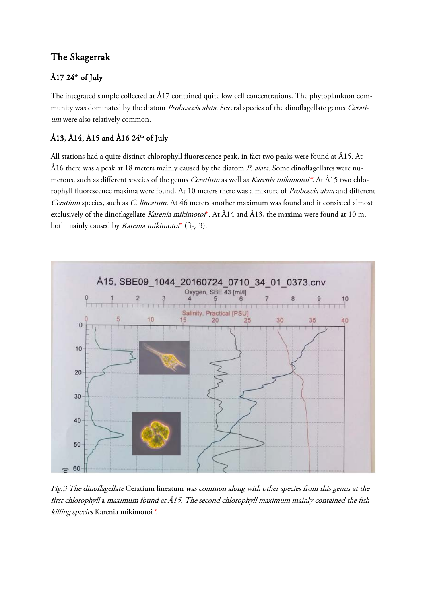# The Skagerrak

## Å17 24<sup>th</sup> of July

The integrated sample collected at Å17 contained quite low cell concentrations. The phytoplankton community was dominated by the diatom Probosccia alata. Several species of the dinoflagellate genus Ceratium were also relatively common.

# Å13, Å14, Å15 and Å16  $24<sup>th</sup>$  of July

All stations had a quite distinct chlorophyll fluorescence peak, in fact two peaks were found at Å15. At Å16 there was a peak at 18 meters mainly caused by the diatom P. alata. Some dinoflagellates were numerous, such as different species of the genus *Ceratium* as well as *Karenia mikimotoi\**. At Å15 two chlorophyll fluorescence maxima were found. At 10 meters there was a mixture of Proboscia alata and different Ceratium species, such as C. lineatum. At 46 meters another maximum was found and it consisted almost exclusively of the dinoflagellate Karenia mikimotoi\*. At Å14 and Å13, the maxima were found at 10 m, both mainly caused by *Karenia mikimotoi*<sup>\*</sup> (fig. 3).



Fig.3 The dinoflagellate Ceratium lineatum was common along with other species from this genus at the first chlorophyll a maximum found at Å15. The second chlorophyll maximum mainly contained the fish killing species Karenia mikimotoi\*.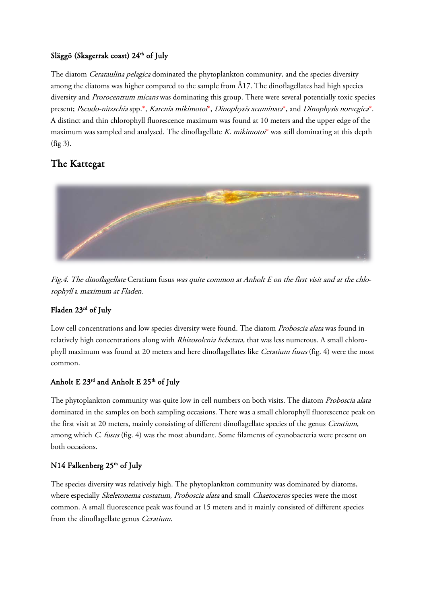### Släggö (Skagerrak coast) 24<sup>th</sup> of July

The diatom *Cerataulina pelagica* dominated the phytoplankton community, and the species diversity among the diatoms was higher compared to the sample from Å17. The dinoflagellates had high species diversity and Prorocentrum micans was dominating this group. There were several potentially toxic species present; Pseudo-nitzschia spp.\*, Karenia mikimotoi\*, Dinophysis acuminata\*, and Dinophysis norvegica\*. A distinct and thin chlorophyll fluorescence maximum was found at 10 meters and the upper edge of the maximum was sampled and analysed. The dinoflagellate K. mikimotoi\* was still dominating at this depth (fig 3).

# The Kattegat



Fig.4. The dinoflagellate Ceratium fusus was quite common at Anholt E on the first visit and at the chlorophyll a maximum at Fladen.

### Fladen 23rd of July

Low cell concentrations and low species diversity were found. The diatom *Proboscia alata* was found in relatively high concentrations along with *Rhizosolenia hebetata*, that was less numerous. A small chlorophyll maximum was found at 20 meters and here dinoflagellates like Ceratium fusus (fig. 4) were the most common.

## Anholt E  $23^{rd}$  and Anholt E  $25^{th}$  of July

The phytoplankton community was quite low in cell numbers on both visits. The diatom *Proboscia alata* dominated in the samples on both sampling occasions. There was a small chlorophyll fluorescence peak on the first visit at 20 meters, mainly consisting of different dinoflagellate species of the genus *Ceratium*, among which C. fusus (fig. 4) was the most abundant. Some filaments of cyanobacteria were present on both occasions.

### N14 Falkenberg  $25<sup>th</sup>$  of July

The species diversity was relatively high. The phytoplankton community was dominated by diatoms, where especially *Skeletonema costatum, Proboscia alata* and small *Chaetoceros* species were the most common. A small fluorescence peak was found at 15 meters and it mainly consisted of different species from the dinoflagellate genus Ceratium.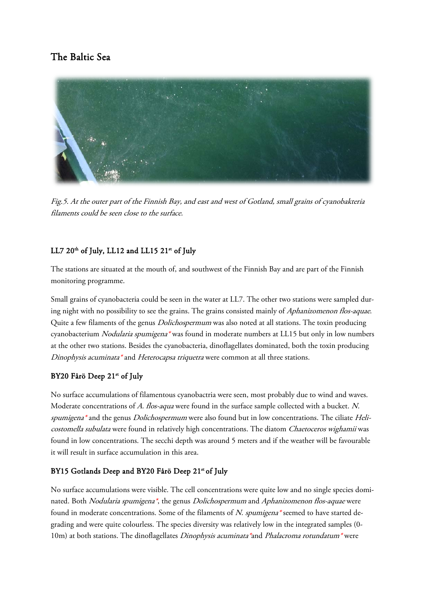# The Baltic Sea



Fig.5. At the outer part of the Finnish Bay, and east and west of Gotland, small grains of cyanobakteria filaments could be seen close to the surface.

### LL7  $20^{th}$  of July, LL12 and LL15  $21^{st}$  of July

The stations are situated at the mouth of, and southwest of the Finnish Bay and are part of the Finnish monitoring programme.

Small grains of cyanobacteria could be seen in the water at LL7. The other two stations were sampled during night with no possibility to see the grains. The grains consisted mainly of Aphanizomenon flos-aquae. Quite a few filaments of the genus *Dolichospermum* was also noted at all stations. The toxin producing cyanobacterium Nodularia spumigena\* was found in moderate numbers at LL15 but only in low numbers at the other two stations. Besides the cyanobacteria, dinoflagellates dominated, both the toxin producing Dinophysis acuminata\* and Heterocapsa triquetra were common at all three stations.

### BY20 Fårö Deep 21st of July

No surface accumulations of filamentous cyanobactria were seen, most probably due to wind and waves. Moderate concentrations of A. flos-aqua were found in the surface sample collected with a bucket. N. spumigena<sup>\*</sup> and the genus *Dolichospermum* were also found but in low concentrations. The ciliate Helicostomella subulata were found in relatively high concentrations. The diatom Chaetoceros wighamii was found in low concentrations. The secchi depth was around 5 meters and if the weather will be favourable it will result in surface accumulation in this area.

### BY15 Gotlands Deep and BY20 Fårö Deep 21st of July

No surface accumulations were visible. The cell concentrations were quite low and no single species dominated. Both Nodularia spumigena\*, the genus Dolichospermum and Aphanizomenon flos-aquae were found in moderate concentrations. Some of the filaments of N. spumigena\* seemed to have started degrading and were quite colourless. The species diversity was relatively low in the integrated samples (0- 10m) at both stations. The dinoflagellates Dinophysis acuminata\*and Phalacroma rotundatum\* were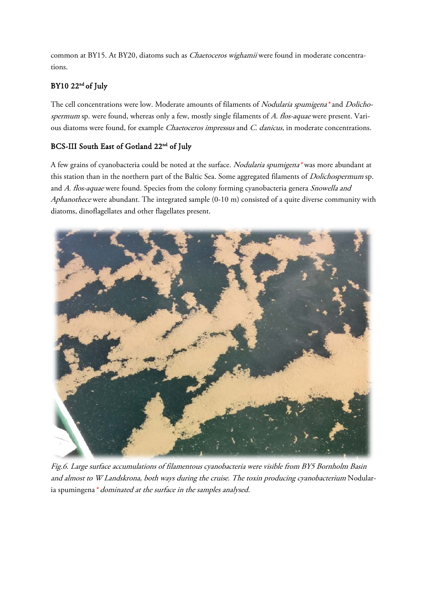common at BY15. At BY20, diatoms such as *Chaetoceros wighamii* were found in moderate concentrations.

## BY10 22<sup>nd</sup> of July

The cell concentrations were low. Moderate amounts of filaments of Nodularia spumigena\* and Dolichospermum sp. were found, whereas only a few, mostly single filaments of A. flos-aquae were present. Various diatoms were found, for example Chaetoceros impressus and C. danicus, in moderate concentrations.

## BCS-III South East of Gotland 22<sup>nd</sup> of July

A few grains of cyanobacteria could be noted at the surface. Nodularia spumigena\* was more abundant at this station than in the northern part of the Baltic Sea. Some aggregated filaments of *Dolichospermum* sp. and A. flos-aquae were found. Species from the colony forming cyanobacteria genera Snowella and Aphanothece were abundant. The integrated sample (0-10 m) consisted of a quite diverse community with diatoms, dinoflagellates and other flagellates present.



Fig.6. Large surface accumulations of filamentous cyanobacteria were visible from BY5 Bornholm Basin and almost to <sup>W</sup> Landskrona, both ways during the cruise. The toxin producing cyanobacterium Nodularia spumingena \* dominated at the surface in the samples analysed.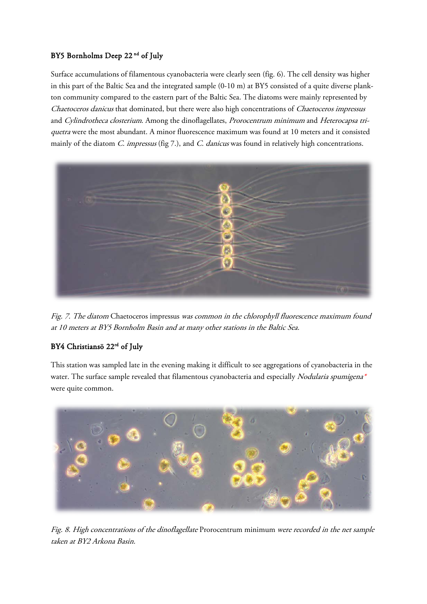### BY5 Bornholms Deep 22<sup>nd</sup> of July

Surface accumulations of filamentous cyanobacteria were clearly seen (fig. 6). The cell density was higher in this part of the Baltic Sea and the integrated sample (0-10 m) at BY5 consisted of a quite diverse plankton community compared to the eastern part of the Baltic Sea. The diatoms were mainly represented by Chaetoceros danicus that dominated, but there were also high concentrations of Chaetoceros impressus and Cylindrotheca closterium. Among the dinoflagellates, Prorocentrum minimum and Heterocapsa triquetra were the most abundant. A minor fluorescence maximum was found at 10 meters and it consisted mainly of the diatom C. impressus (fig 7.), and C. danicus was found in relatively high concentrations.



Fig. 7. The diatom Chaetoceros impressus was common in the chlorophyll fluorescence maximum found at 10 meters at BY5 Bornholm Basin and at many other stations in the Baltic Sea.

## BY4 Christiansö 22rd of July

This station was sampled late in the evening making it difficult to see aggregations of cyanobacteria in the water. The surface sample revealed that filamentous cyanobacteria and especially Nodularia spumigena\* were quite common.



Fig. 8. High concentrations of the dinoflagellate Prorocentrum minimum were recorded in the net sample taken at BY2 Arkona Basin.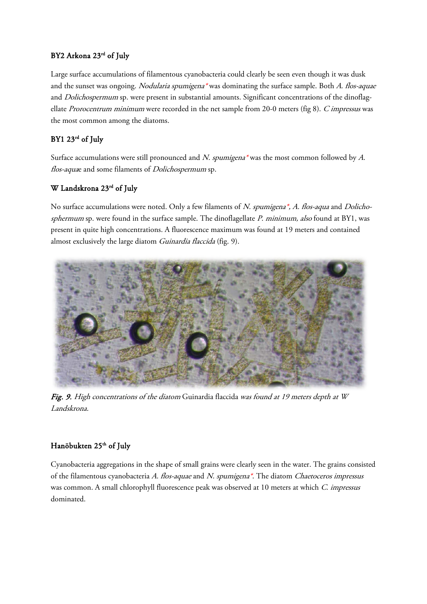### BY2 Arkona 23rd of July

Large surface accumulations of filamentous cyanobacteria could clearly be seen even though it was dusk and the sunset was ongoing. Nodularia spumigena\* was dominating the surface sample. Both A. flos-aquae and *Dolichospermum* sp. were present in substantial amounts. Significant concentrations of the dinoflagellate Prorocentrum minimum were recorded in the net sample from 20-0 meters (fig 8). C impressus was the most common among the diatoms.

## BY1 23rd of July

Surface accumulations were still pronounced and N. spumigena\* was the most common followed by A. flos-aquae and some filaments of *Dolichospermum* sp.

## W Landskrona 23rd of July

No surface accumulations were noted. Only a few filaments of N. spumigena\*, A. flos-aqua and Dolichosphermum sp. were found in the surface sample. The dinoflagellate P. minimum, also found at BY1, was present in quite high concentrations. A fluorescence maximum was found at 19 meters and contained almost exclusively the large diatom Guinardia flaccida (fig. 9).



Fig. 9. High concentrations of the diatom Guinardia flaccida was found at 19 meters depth at W Landskrona.

## Hanöbukten 25<sup>th</sup> of July

Cyanobacteria aggregations in the shape of small grains were clearly seen in the water. The grains consisted of the filamentous cyanobacteria A. flos-aquae and N. spumigena\*. The diatom Chaetoceros impressus was common. A small chlorophyll fluorescence peak was observed at 10 meters at which C. impressus dominated.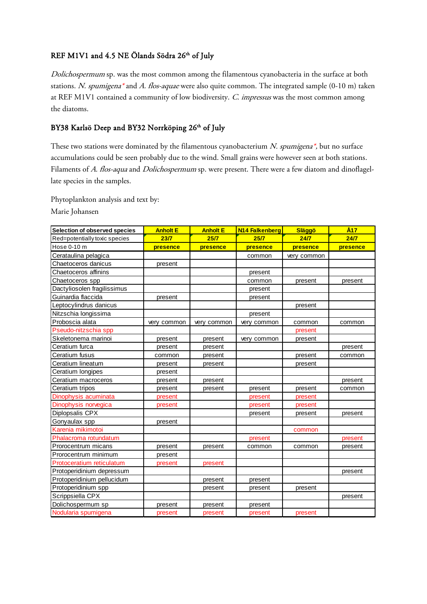#### REF M1V1 and 4.5 NE Ölands Södra 26<sup>th</sup> of July

Dolichospermum sp. was the most common among the filamentous cyanobacteria in the surface at both stations. N. spumigena\* and A. flos-aquae were also quite common. The integrated sample (0-10 m) taken at REF M1V1 contained a community of low biodiversity. C. impressus was the most common among the diatoms.

#### BY38 Karlsö Deep and BY32 Norrköping 26<sup>th</sup> of July

These two stations were dominated by the filamentous cyanobacterium N. spumigena\*, but no surface accumulations could be seen probably due to the wind. Small grains were however seen at both stations. Filaments of A. flos-aqua and Dolichospermum sp. were present. There were a few diatom and dinoflagellate species in the samples.

Phytoplankton analysis and text by:

Marie Johansen

| Selection of observed species | <b>Anholt E</b> | <b>Anholt E</b> | N <sub>14</sub> Falkenberg | <b>Släggö</b> | Å <sub>17</sub> |
|-------------------------------|-----------------|-----------------|----------------------------|---------------|-----------------|
| Red=potentially toxic species | 23/7            | 25/7            | 25/7                       | 24/7          | 24/7            |
| Hose 0-10 m                   | presence        | presence        | presence                   | presence      | presence        |
| Cerataulina pelagica          |                 |                 | common                     | very common   |                 |
| Chaetoceros danicus           | present         |                 |                            |               |                 |
| Chaetoceros affinins          |                 |                 | present                    |               |                 |
| Chaetoceros spp               |                 |                 | common                     | present       | present         |
| Dactyliosolen fragilissimus   |                 |                 | present                    |               |                 |
| Guinardia flaccida            | present         |                 | present                    |               |                 |
| Leptocylindrus danicus        |                 |                 |                            | present       |                 |
| Nitzschia longissima          |                 |                 | present                    |               |                 |
| Proboscia alata               | very common     | very common     | very common                | common        | common          |
| Pseudo-nitzschia spp          |                 |                 |                            | present       |                 |
| Skeletonema marinoi           | present         | present         | very common                | present       |                 |
| Ceratium furca                | present         | present         |                            |               | present         |
| Ceratium fusus                | common          | present         |                            | present       | common          |
| Ceratium lineatum             | present         | present         |                            | present       |                 |
| Ceratium longipes             | present         |                 |                            |               |                 |
| Ceratium macroceros           | present         | present         |                            |               | present         |
| Ceratium tripos               | present         | present         | present                    | present       | common          |
| Dinophysis acuminata          | present         |                 | present                    | present       |                 |
| Dinophysis norvegica          | present         |                 | present                    | present       |                 |
| Diplopsalis CPX               |                 |                 | present                    | present       | present         |
| Gonyaulax spp                 | present         |                 |                            |               |                 |
| Karenia mikimotoi             |                 |                 |                            | common        |                 |
| Phalacroma rotundatum         |                 |                 | present                    |               | present         |
| Prorocentrum micans           | present         | present         | common                     | common        | present         |
| Prorocentrum minimum          | present         |                 |                            |               |                 |
| Protoceratium reticulatum     | present         | present         |                            |               |                 |
| Protoperidinium depressum     |                 |                 |                            |               | present         |
| Protoperidinium pellucidum    |                 | present         | present                    |               |                 |
| Protoperidinium spp           |                 | present         | present                    | present       |                 |
| Scrippsiella CPX              |                 |                 |                            |               | present         |
| Dolichospermum sp             | present         | present         | present                    |               |                 |
| Nodularia spumigena           | present         | present         | present                    | present       |                 |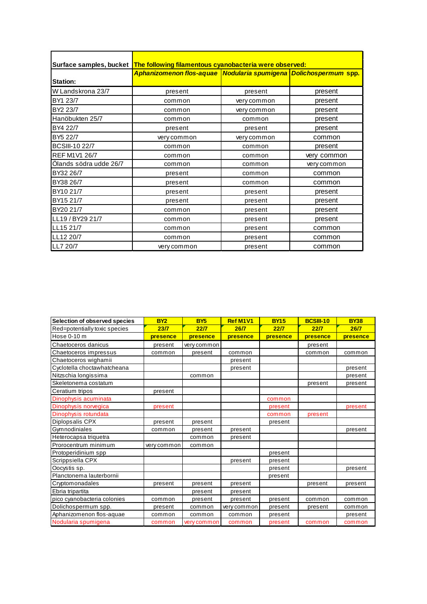| Surface samples, bucket | The following filamentous cyanobacteria were observed:                      |             |             |  |  |  |  |  |
|-------------------------|-----------------------------------------------------------------------------|-------------|-------------|--|--|--|--|--|
|                         | <u>Aphanizomenon flos-aquae   Nodularia spumigena   Dolichospermum spp.</u> |             |             |  |  |  |  |  |
| <b>Station:</b>         |                                                                             |             |             |  |  |  |  |  |
| W Landskrona 23/7       | present                                                                     | present     | present     |  |  |  |  |  |
| BY1 23/7                | common                                                                      | very common | present     |  |  |  |  |  |
| BY2 23/7                | common                                                                      | very common | present     |  |  |  |  |  |
| Hanöbukten 25/7         | common                                                                      | common      | present     |  |  |  |  |  |
| BY4 22/7                | present                                                                     | present     | present     |  |  |  |  |  |
| BY5 22/7                | very common                                                                 | very common | common      |  |  |  |  |  |
| <b>BCSIII-10 22/7</b>   | common                                                                      | common      | present     |  |  |  |  |  |
| <b>REF M1V1 26/7</b>    | common                                                                      | common      | very common |  |  |  |  |  |
| Olands södra udde 26/7  | common                                                                      | common      | very common |  |  |  |  |  |
| BY32 26/7               | present                                                                     | common      | common      |  |  |  |  |  |
| BY38 26/7               | present                                                                     | common      | common      |  |  |  |  |  |
| BY10 21/7               | present                                                                     | present     | present     |  |  |  |  |  |
| BY15 21/7               | present                                                                     | present     | present     |  |  |  |  |  |
| BY20 21/7               | common                                                                      | present     | present     |  |  |  |  |  |
| LL19/BY29 21/7          | common                                                                      | present     | present     |  |  |  |  |  |
| LL15 21/7               | common                                                                      | present     | common      |  |  |  |  |  |
| LL12 20/7               | common                                                                      | present     | common      |  |  |  |  |  |
| <b>ILL7 20/7</b>        | very common                                                                 | present     | common      |  |  |  |  |  |

| Selection of observed species | <b>BY2</b>      | <b>BY5</b>      | Ref M1V1    | <b>BY15</b>     | <b>BCSIII-10</b> | <b>BY38</b> |
|-------------------------------|-----------------|-----------------|-------------|-----------------|------------------|-------------|
| Red=potentially toxic species | 23 <sub>7</sub> | 22 <sub>7</sub> | 26/7        | 22 <sub>7</sub> | 22/7             | 26/7        |
| Hose 0-10 m                   | presence        | presence        | presence    | presence        | presence         | presence    |
| Chaetoceros danicus           | present         | very common     |             |                 | present          |             |
| Chaetoceros impressus         | common          | present         | common      |                 | common           | common      |
| Chaetoceros wighamii          |                 |                 | present     |                 |                  |             |
| Cyclotella choctawhatcheana   |                 |                 | present     |                 |                  | present     |
| Nitzschia longissima          |                 | common          |             |                 |                  | present     |
| Skeletonema costatum          |                 |                 |             |                 | present          | present     |
| Ceratium tripos               | present         |                 |             |                 |                  |             |
| Dinophysis acuminata          |                 |                 |             | common          |                  |             |
| Dinophysis norvegica          | present         |                 |             | present         |                  | present     |
| Dinophysis rotundata          |                 |                 |             | common          | present          |             |
| Diplopsalis CPX               | present         | present         |             | present         |                  |             |
| Gymnodiniales                 | common          | present         | present     |                 |                  | present     |
| Heterocapsa triquetra         |                 | common          | present     |                 |                  |             |
| Prorocentrum minimum          | very common     | common          |             |                 |                  |             |
| Protoperidinium spp           |                 |                 |             | present         |                  |             |
| Scrippsiella CPX              |                 |                 | present     | present         |                  |             |
| Oocystis sp.                  |                 |                 |             | present         |                  | present     |
| Planctonema lauterbornii      |                 |                 |             | present         |                  |             |
| Cryptomonadales               | present         | present         | present     |                 | present          | present     |
| Ebria tripartita              |                 | present         | present     |                 |                  |             |
| pico cyanobacteria colonies   | common          | present         | present     | present         | common           | common      |
| Dolichospermum spp.           | present         | common          | very common | present         | present          | common      |
| Aphanizomenon flos-aquae      | common          | common          | common      | present         |                  | present     |
| Nodularia spumigena           | common          | very common     | common      | present         | common           | common      |